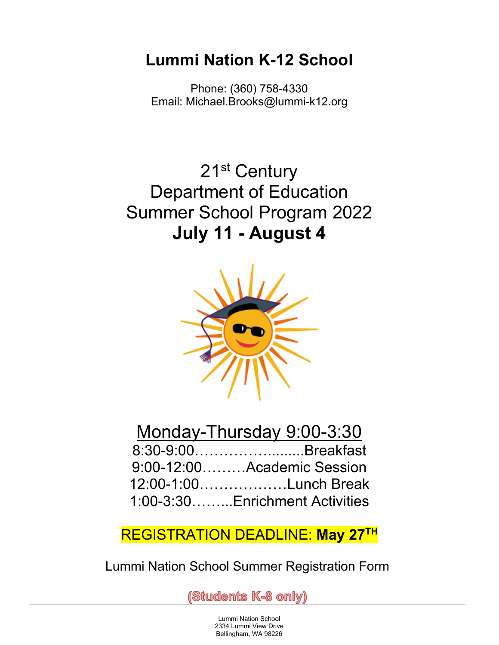# **Lummi Nation K-12 School**

Phone: (360) 758-4330 Email: Michael.Brooks@lummi-k12.org

21<sup>st</sup> Century Department of Education Summer School Program 2022 **July 11 - August 4**



# Monday-Thursday 9:00-3:30

| 8:30-9:00Breakfast             |
|--------------------------------|
| $9:00-12:00$ Academic Session  |
| 12:00-1:00Lunch Break          |
| 1:00-3:30Enrichment Activities |

## REGISTRATION DEADLINE: **May 27TH**

Lummi Nation School Summer Registration Form

(Students K-8 only)

Lummi Nation School 2334 Lummi View Drive Bellingham, WA 98226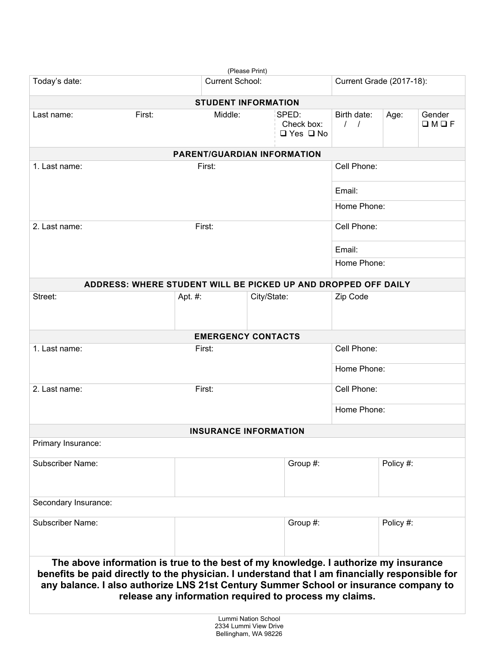| (Please Print)                                                                                                                                                                                                                                                                                                                          |                        |                                    |  |                                             |                                 |                          |                           |  |  |  |
|-----------------------------------------------------------------------------------------------------------------------------------------------------------------------------------------------------------------------------------------------------------------------------------------------------------------------------------------|------------------------|------------------------------------|--|---------------------------------------------|---------------------------------|--------------------------|---------------------------|--|--|--|
| Today's date:                                                                                                                                                                                                                                                                                                                           | <b>Current School:</b> |                                    |  |                                             |                                 | Current Grade (2017-18): |                           |  |  |  |
| <b>STUDENT INFORMATION</b>                                                                                                                                                                                                                                                                                                              |                        |                                    |  |                                             |                                 |                          |                           |  |  |  |
| First:<br>Last name:                                                                                                                                                                                                                                                                                                                    |                        | Middle:                            |  | SPED:<br>Check box:<br>$\Box$ Yes $\Box$ No | Birth date:<br>$\left  \right $ | Age:                     | Gender<br>$\Box M \Box F$ |  |  |  |
|                                                                                                                                                                                                                                                                                                                                         |                        | <b>PARENT/GUARDIAN INFORMATION</b> |  |                                             |                                 |                          |                           |  |  |  |
| 1. Last name:<br>First:                                                                                                                                                                                                                                                                                                                 |                        |                                    |  | Cell Phone:                                 |                                 |                          |                           |  |  |  |
|                                                                                                                                                                                                                                                                                                                                         |                        |                                    |  | Email:                                      |                                 |                          |                           |  |  |  |
|                                                                                                                                                                                                                                                                                                                                         |                        |                                    |  |                                             | Home Phone:                     |                          |                           |  |  |  |
| 2. Last name:<br>First:                                                                                                                                                                                                                                                                                                                 |                        |                                    |  | Cell Phone:                                 |                                 |                          |                           |  |  |  |
|                                                                                                                                                                                                                                                                                                                                         |                        |                                    |  |                                             |                                 | Email:                   |                           |  |  |  |
|                                                                                                                                                                                                                                                                                                                                         |                        |                                    |  | Home Phone:                                 |                                 |                          |                           |  |  |  |
| ADDRESS: WHERE STUDENT WILL BE PICKED UP AND DROPPED OFF DAILY                                                                                                                                                                                                                                                                          |                        |                                    |  |                                             |                                 |                          |                           |  |  |  |
| Street:                                                                                                                                                                                                                                                                                                                                 |                        | City/State:<br>Apt. #:             |  |                                             | Zip Code                        |                          |                           |  |  |  |
|                                                                                                                                                                                                                                                                                                                                         |                        | <b>EMERGENCY CONTACTS</b>          |  |                                             |                                 |                          |                           |  |  |  |
| 1. Last name:<br>First:                                                                                                                                                                                                                                                                                                                 |                        |                                    |  |                                             | Cell Phone:                     |                          |                           |  |  |  |
|                                                                                                                                                                                                                                                                                                                                         |                        |                                    |  |                                             | Home Phone:                     |                          |                           |  |  |  |
|                                                                                                                                                                                                                                                                                                                                         |                        |                                    |  |                                             |                                 |                          |                           |  |  |  |
| 2. Last name:                                                                                                                                                                                                                                                                                                                           | First:                 |                                    |  |                                             | Cell Phone:                     |                          |                           |  |  |  |
|                                                                                                                                                                                                                                                                                                                                         |                        |                                    |  | Home Phone:                                 |                                 |                          |                           |  |  |  |
|                                                                                                                                                                                                                                                                                                                                         |                        | <b>INSURANCE INFORMATION</b>       |  |                                             |                                 |                          |                           |  |  |  |
| Primary Insurance:                                                                                                                                                                                                                                                                                                                      |                        |                                    |  |                                             |                                 |                          |                           |  |  |  |
| <b>Subscriber Name:</b>                                                                                                                                                                                                                                                                                                                 |                        | Group #:                           |  |                                             |                                 | Policy #:                |                           |  |  |  |
| Secondary Insurance:                                                                                                                                                                                                                                                                                                                    |                        |                                    |  |                                             |                                 |                          |                           |  |  |  |
| <b>Subscriber Name:</b>                                                                                                                                                                                                                                                                                                                 |                        | Group #:                           |  |                                             | Policy #:                       |                          |                           |  |  |  |
| The above information is true to the best of my knowledge. I authorize my insurance<br>benefits be paid directly to the physician. I understand that I am financially responsible for<br>any balance. I also authorize LNS 21st Century Summer School or insurance company to<br>release any information required to process my claims. |                        |                                    |  |                                             |                                 |                          |                           |  |  |  |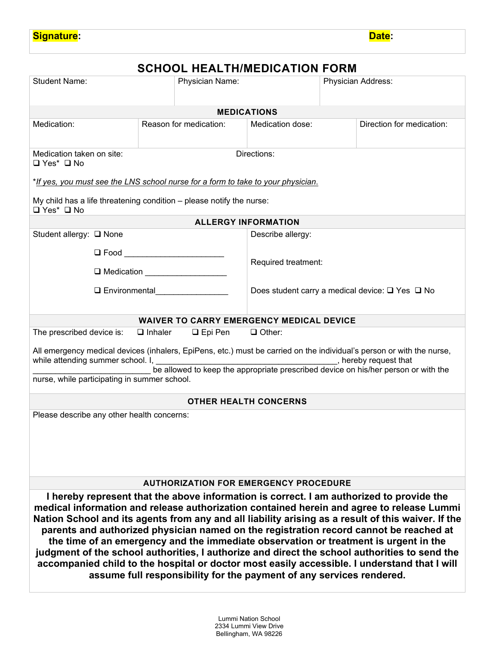### **SCHOOL HEALTH/MEDICATION FORM**

| <b>Student Name:</b>                                                                                                                                                                                                                                                                                                                                                                                                                                                                                                                                                                                                                                                                                                                                   |                        | Physician Name:                                                 |                            | Physician Address: |                           |  |  |  |  |
|--------------------------------------------------------------------------------------------------------------------------------------------------------------------------------------------------------------------------------------------------------------------------------------------------------------------------------------------------------------------------------------------------------------------------------------------------------------------------------------------------------------------------------------------------------------------------------------------------------------------------------------------------------------------------------------------------------------------------------------------------------|------------------------|-----------------------------------------------------------------|----------------------------|--------------------|---------------------------|--|--|--|--|
| <b>MEDICATIONS</b>                                                                                                                                                                                                                                                                                                                                                                                                                                                                                                                                                                                                                                                                                                                                     |                        |                                                                 |                            |                    |                           |  |  |  |  |
| Medication:                                                                                                                                                                                                                                                                                                                                                                                                                                                                                                                                                                                                                                                                                                                                            | Reason for medication: |                                                                 | Medication dose:           |                    | Direction for medication: |  |  |  |  |
| Directions:<br>Medication taken on site:<br>$\Box$ Yes* $\Box$ No                                                                                                                                                                                                                                                                                                                                                                                                                                                                                                                                                                                                                                                                                      |                        |                                                                 |                            |                    |                           |  |  |  |  |
| *If yes, you must see the LNS school nurse for a form to take to your physician.                                                                                                                                                                                                                                                                                                                                                                                                                                                                                                                                                                                                                                                                       |                        |                                                                 |                            |                    |                           |  |  |  |  |
| My child has a life threatening condition - please notify the nurse:<br>$\Box$ Yes* $\Box$ No                                                                                                                                                                                                                                                                                                                                                                                                                                                                                                                                                                                                                                                          |                        |                                                                 |                            |                    |                           |  |  |  |  |
|                                                                                                                                                                                                                                                                                                                                                                                                                                                                                                                                                                                                                                                                                                                                                        |                        |                                                                 | <b>ALLERGY INFORMATION</b> |                    |                           |  |  |  |  |
| Student allergy: □ None                                                                                                                                                                                                                                                                                                                                                                                                                                                                                                                                                                                                                                                                                                                                |                        |                                                                 | Describe allergy:          |                    |                           |  |  |  |  |
| □ Food __________________________                                                                                                                                                                                                                                                                                                                                                                                                                                                                                                                                                                                                                                                                                                                      |                        |                                                                 | Required treatment:        |                    |                           |  |  |  |  |
| $\Box$ Environmental                                                                                                                                                                                                                                                                                                                                                                                                                                                                                                                                                                                                                                                                                                                                   |                        | Does student carry a medical device: $\square$ Yes $\square$ No |                            |                    |                           |  |  |  |  |
| <b>WAIVER TO CARRY EMERGENCY MEDICAL DEVICE</b>                                                                                                                                                                                                                                                                                                                                                                                                                                                                                                                                                                                                                                                                                                        |                        |                                                                 |                            |                    |                           |  |  |  |  |
| The prescribed device is:                                                                                                                                                                                                                                                                                                                                                                                                                                                                                                                                                                                                                                                                                                                              | $\Box$ Inhaler         | $\Box$ Epi Pen                                                  | $\Box$ Other:              |                    |                           |  |  |  |  |
| All emergency medical devices (inhalers, EpiPens, etc.) must be carried on the individual's person or with the nurse,<br>while attending summer school. I,<br>hereby request that<br>be allowed to keep the appropriate prescribed device on his/her person or with the<br>nurse, while participating in summer school.                                                                                                                                                                                                                                                                                                                                                                                                                                |                        |                                                                 |                            |                    |                           |  |  |  |  |
| <b>OTHER HEALTH CONCERNS</b>                                                                                                                                                                                                                                                                                                                                                                                                                                                                                                                                                                                                                                                                                                                           |                        |                                                                 |                            |                    |                           |  |  |  |  |
| Please describe any other health concerns:                                                                                                                                                                                                                                                                                                                                                                                                                                                                                                                                                                                                                                                                                                             |                        |                                                                 |                            |                    |                           |  |  |  |  |
| <b>AUTHORIZATION FOR EMERGENCY PROCEDURE</b>                                                                                                                                                                                                                                                                                                                                                                                                                                                                                                                                                                                                                                                                                                           |                        |                                                                 |                            |                    |                           |  |  |  |  |
| I hereby represent that the above information is correct. I am authorized to provide the<br>medical information and release authorization contained herein and agree to release Lummi<br>Nation School and its agents from any and all liability arising as a result of this waiver. If the<br>parents and authorized physician named on the registration record cannot be reached at<br>the time of an emergency and the immediate observation or treatment is urgent in the<br>judgment of the school authorities, I authorize and direct the school authorities to send the<br>accompanied child to the hospital or doctor most easily accessible. I understand that I will<br>assume full responsibility for the payment of any services rendered. |                        |                                                                 |                            |                    |                           |  |  |  |  |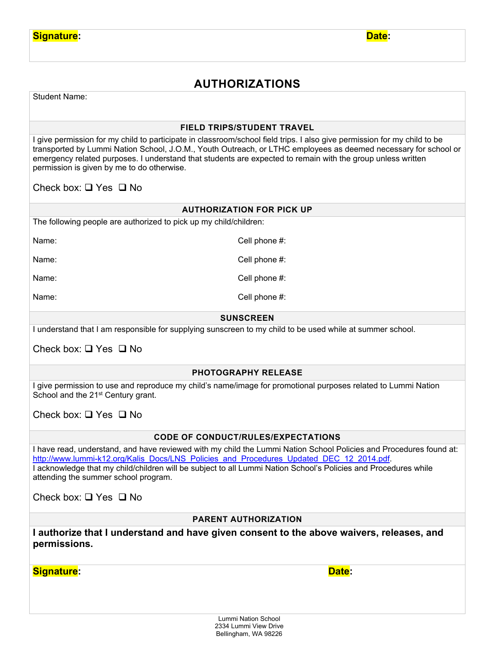## **AUTHORIZATIONS**

Student Name:

#### **FIELD TRIPS/STUDENT TRAVEL**

I give permission for my child to participate in classroom/school field trips. I also give permission for my child to be transported by Lummi Nation School, J.O.M., Youth Outreach, or LTHC employees as deemed necessary for school or emergency related purposes. I understand that students are expected to remain with the group unless written permission is given by me to do otherwise.

Check box:  $\Box$  Yes  $\Box$  No

#### **AUTHORIZATION FOR PICK UP**

The following people are authorized to pick up my child/children:

Name: Cell phone #:

Name:  $\blacksquare$  Name:

Name: Cell phone #:

Name:  $\blacksquare$ 

#### **SUNSCREEN**

I understand that I am responsible for supplying sunscreen to my child to be used while at summer school.

Check box:  $\Box$  Yes  $\Box$  No

#### **PHOTOGRAPHY RELEASE**

I give permission to use and reproduce my child's name/image for promotional purposes related to Lummi Nation School and the 21<sup>st</sup> Century grant.

Check box:  $\Box$  Yes  $\Box$  No

#### **CODE OF CONDUCT/RULES/EXPECTATIONS**

I have read, understand, and have reviewed with my child the Lummi Nation School Policies and Procedures found at: [http://www.lummi-k12.org/Kalis\\_Docs/LNS\\_Policies\\_and\\_Procedures\\_Updated\\_DEC\\_12\\_2014.pdf.](http://www.lummi-k12.org/Kalis_Docs/LNS_Policies_and_Procedures_Updated_DEC_12_2014.pdf) I acknowledge that my child/children will be subject to all Lummi Nation School's Policies and Procedures while attending the summer school program.

Check box:  $\Box$  Yes  $\Box$  No

#### **PARENT AUTHORIZATION**

**I authorize that I understand and have given consent to the above waivers, releases, and permissions.** 

**Signature: Date:**